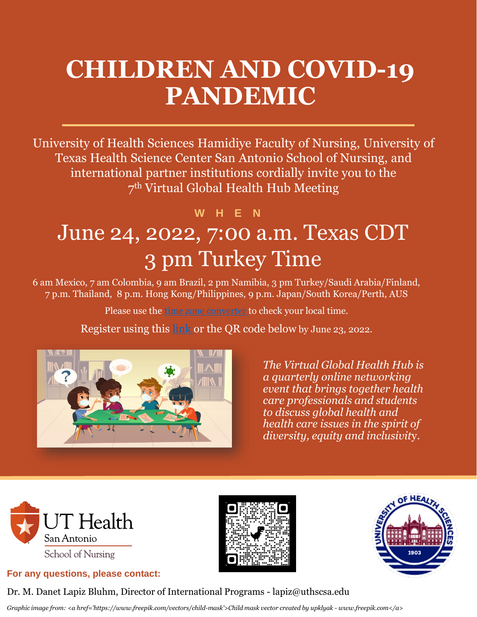# **CHILDREN AND COVID-19 PANDEMIC**

University of Health Sciences Hamidiye Faculty of Nursing, University of Texas Health Science Center San Antonio School of Nursing, and international partner institutions cordially invite you to the 7 th Virtual Global Health Hub Meeting

## June 24, 2022, 7:00 a.m. Texas CDT 3 pm Turkey Time **W H E N**

6 am Mexico, 7 am Colombia, 9 am Brazil, 2 pm Namibia, 3 pm Turkey/Saudi Arabia/Finland, 7 p.m. Thailand, 8 p.m. Hong Kong/Philippines, 9 p.m. Japan/South Korea/Perth, AUS

Please use the [time zone converter t](https://www.timeanddate.com/worldclock/converter.html?iso=20210606T123000&p1=400&p2=tz_jst&p3=102&p4=1955&p5=235&p6=155&p7=41&p8=266&p9=101&p10=1401)o check your local time.

Register using this [link](https://forms.gle/m1jh7sNEPzHpWF3A8) or the QR code below by June 23, 2022.



*The Virtual Global Health Hub is a quarterly online networking event that brings together health care professionals and students to discuss global health and health care issues in the spirit of diversity, equity and inclusivit*y.



#### **For any questions, please contact:**





Dr. M. Danet Lapiz Bluhm, Director of International Programs - lapiz@uthscsa.edu

*Graphic image from: <a href='https://www.freepik.com/vectors/child-mask'>Child mask vector created by upklyak - www.freepik.com</a>*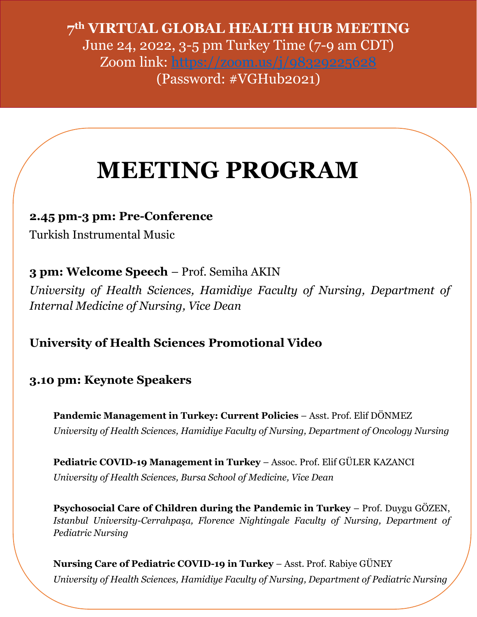**7 th VIRTUAL GLOBAL HEALTH HUB MEETING** June 24, 2022, 3-5 pm Turkey Time (7-9 am CDT) Zoom link: <https://zoom.us/j/98329225628> (Password: #VGHub2021)

# **MEETING PROGRAM**

#### **2.45 pm-3 pm: Pre-Conference**

Turkish Instrumental Music

**3 pm: Welcome Speech** – Prof. Semiha AKIN

*University of Health Sciences, Hamidiye Faculty of Nursing, Department of Internal Medicine of Nursing, Vice Dean*

### **University of Health Sciences Promotional Video**

### **3.10 pm: Keynote Speakers**

**Pandemic Management in Turkey: Current Policies** – Asst. Prof. Elif DÖNMEZ *University of Health Sciences, Hamidiye Faculty of Nursing, Department of Oncology Nursing*

**Pediatric COVID-19 Management in Turkey** – Assoc. Prof. Elif GÜLER KAZANCI *University of Health Sciences, Bursa School of Medicine, Vice Dean*

**Psychosocial Care of Children during the Pandemic in Turkey** – Prof. Duygu GÖZEN, *Istanbul University-Cerrahpaşa, Florence Nightingale Faculty of Nursing, Department of Pediatric Nursing*

**Nursing Care of Pediatric COVID-19 in Turkey** – Asst. Prof. Rabiye GÜNEY *University of Health Sciences, Hamidiye Faculty of Nursing, Department of Pediatric Nursing*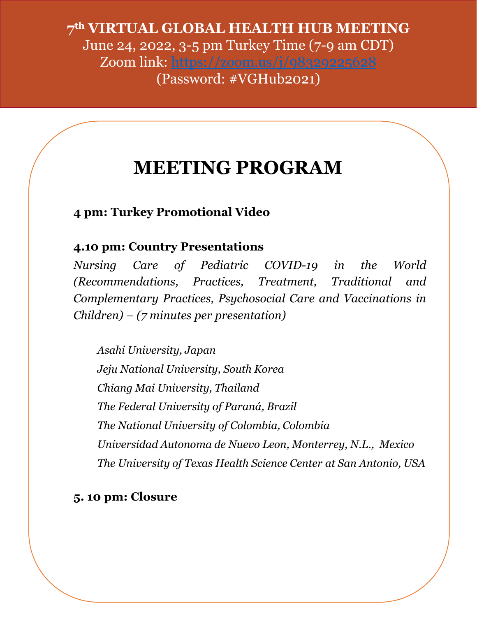**7 th VIRTUAL GLOBAL HEALTH HUB MEETING** June 24, 2022, 3-5 pm Turkey Time (7-9 am CDT) Zoom link: <https://zoom.us/j/98329225628> (Password: #VGHub2021)

## **MEETING PROGRAM**

**4 pm: Turkey Promotional Video**

**4.10 pm: Country Presentations**

*Nursing Care of Pediatric COVID-19 in the World (Recommendations, Practices, Treatment, Traditional and Complementary Practices, Psychosocial Care and Vaccinations in Children) – (7 minutes per presentation)*

*Asahi University, Japan Jeju National University, South Korea Chiang Mai University, Thailand The Federal University of Paraná, Brazil The National University of Colombia, Colombia Universidad Autonoma de Nuevo Leon, Monterrey, N.L., Mexico The University of Texas Health Science Center at San Antonio, USA*

### **5. 10 pm: Closure**